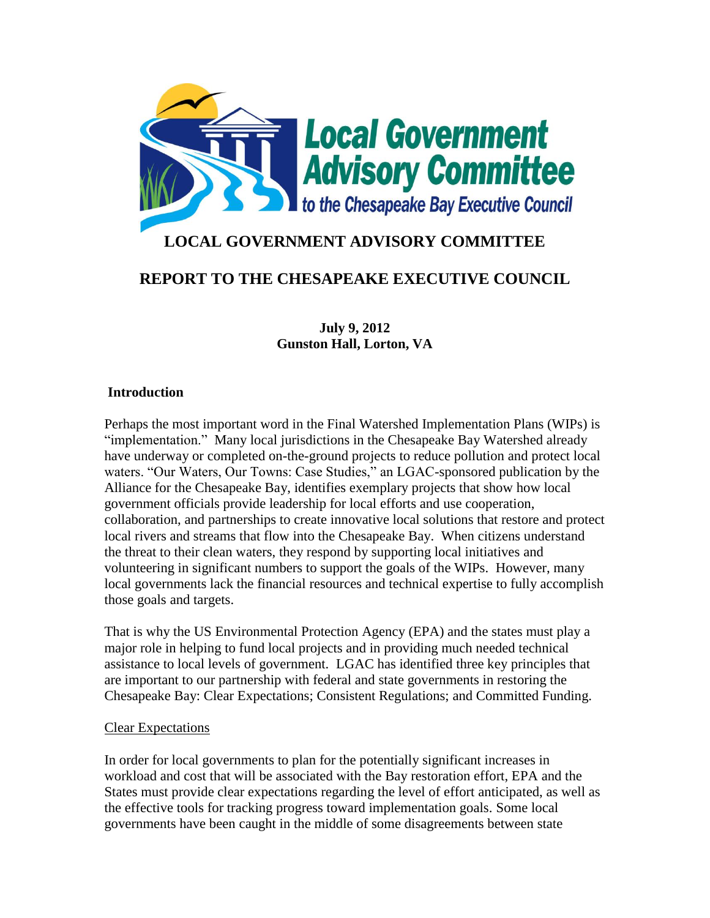

# **LOCAL GOVERNMENT ADVISORY COMMITTEE**

## **REPORT TO THE CHESAPEAKE EXECUTIVE COUNCIL**

**July 9, 2012 Gunston Hall, Lorton, VA**

### **Introduction**

Perhaps the most important word in the Final Watershed Implementation Plans (WIPs) is "implementation." Many local jurisdictions in the Chesapeake Bay Watershed already have underway or completed on-the-ground projects to reduce pollution and protect local waters. "Our Waters, Our Towns: Case Studies," an LGAC-sponsored publication by the Alliance for the Chesapeake Bay, identifies exemplary projects that show how local government officials provide leadership for local efforts and use cooperation, collaboration, and partnerships to create innovative local solutions that restore and protect local rivers and streams that flow into the Chesapeake Bay. When citizens understand the threat to their clean waters, they respond by supporting local initiatives and volunteering in significant numbers to support the goals of the WIPs. However, many local governments lack the financial resources and technical expertise to fully accomplish those goals and targets.

That is why the US Environmental Protection Agency (EPA) and the states must play a major role in helping to fund local projects and in providing much needed technical assistance to local levels of government. LGAC has identified three key principles that are important to our partnership with federal and state governments in restoring the Chesapeake Bay: Clear Expectations; Consistent Regulations; and Committed Funding.

#### Clear Expectations

In order for local governments to plan for the potentially significant increases in workload and cost that will be associated with the Bay restoration effort, EPA and the States must provide clear expectations regarding the level of effort anticipated, as well as the effective tools for tracking progress toward implementation goals. Some local governments have been caught in the middle of some disagreements between state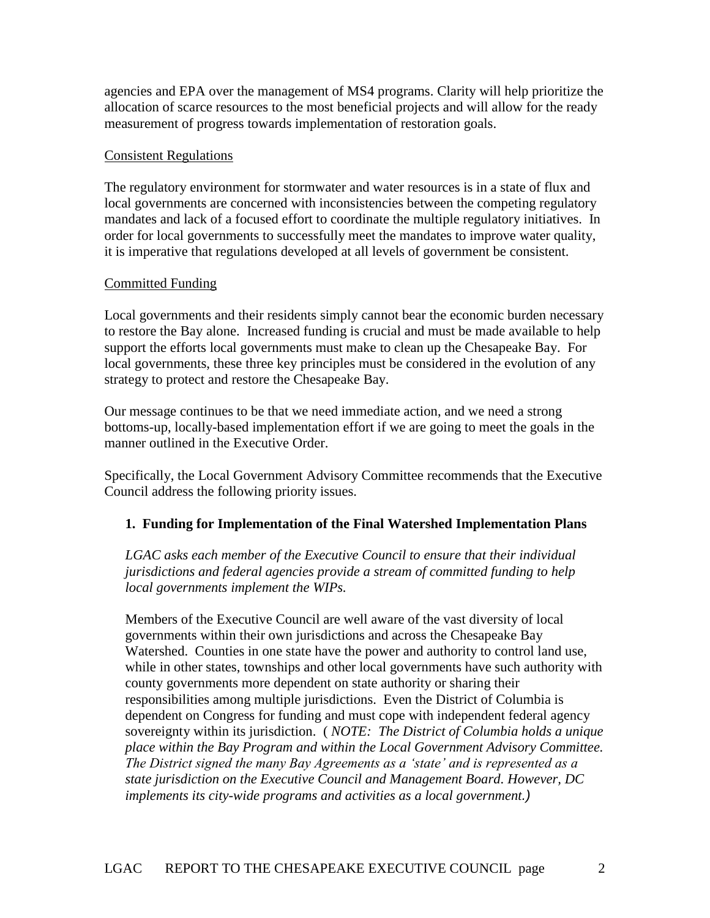agencies and EPA over the management of MS4 programs. Clarity will help prioritize the allocation of scarce resources to the most beneficial projects and will allow for the ready measurement of progress towards implementation of restoration goals.

#### Consistent Regulations

The regulatory environment for stormwater and water resources is in a state of flux and local governments are concerned with inconsistencies between the competing regulatory mandates and lack of a focused effort to coordinate the multiple regulatory initiatives. In order for local governments to successfully meet the mandates to improve water quality, it is imperative that regulations developed at all levels of government be consistent.

## Committed Funding

Local governments and their residents simply cannot bear the economic burden necessary to restore the Bay alone. Increased funding is crucial and must be made available to help support the efforts local governments must make to clean up the Chesapeake Bay. For local governments, these three key principles must be considered in the evolution of any strategy to protect and restore the Chesapeake Bay.

Our message continues to be that we need immediate action, and we need a strong bottoms-up, locally-based implementation effort if we are going to meet the goals in the manner outlined in the Executive Order.

Specifically, the Local Government Advisory Committee recommends that the Executive Council address the following priority issues.

## **1. Funding for Implementation of the Final Watershed Implementation Plans**

*LGAC asks each member of the Executive Council to ensure that their individual jurisdictions and federal agencies provide a stream of committed funding to help local governments implement the WIPs.*

Members of the Executive Council are well aware of the vast diversity of local governments within their own jurisdictions and across the Chesapeake Bay Watershed. Counties in one state have the power and authority to control land use, while in other states, townships and other local governments have such authority with county governments more dependent on state authority or sharing their responsibilities among multiple jurisdictions. Even the District of Columbia is dependent on Congress for funding and must cope with independent federal agency sovereignty within its jurisdiction. ( *NOTE: The District of Columbia holds a unique place within the Bay Program and within the Local Government Advisory Committee. The District signed the many Bay Agreements as a 'state' and is represented as a state jurisdiction on the Executive Council and Management Board. However, DC implements its city-wide programs and activities as a local government.)*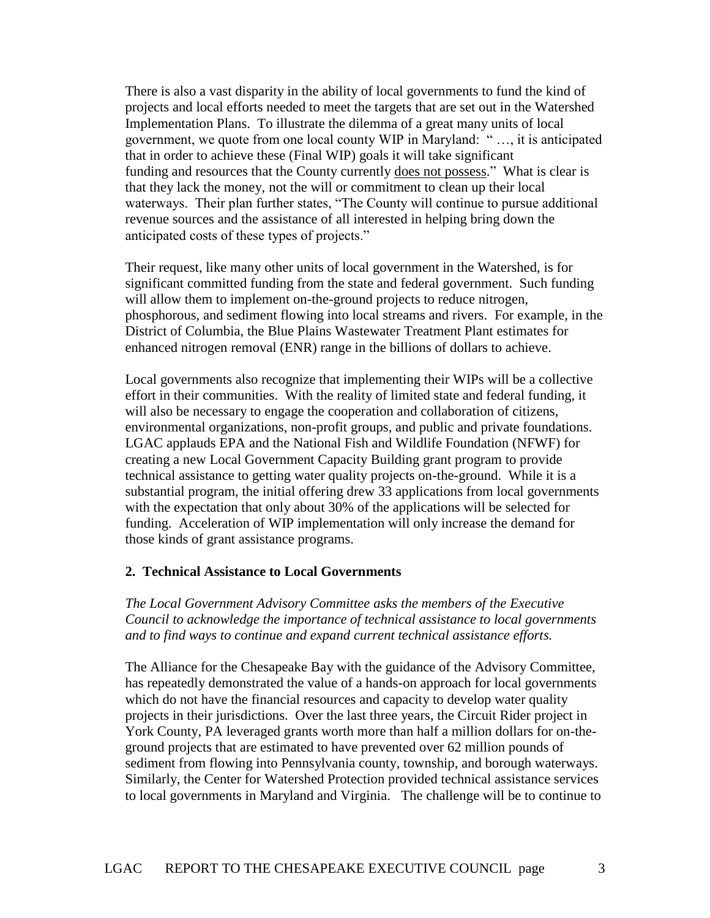There is also a vast disparity in the ability of local governments to fund the kind of projects and local efforts needed to meet the targets that are set out in the Watershed Implementation Plans. To illustrate the dilemma of a great many units of local government, we quote from one local county WIP in Maryland: " …, it is anticipated that in order to achieve these (Final WIP) goals it will take significant funding and resources that the County currently does not possess." What is clear is that they lack the money, not the will or commitment to clean up their local waterways. Their plan further states, "The County will continue to pursue additional revenue sources and the assistance of all interested in helping bring down the anticipated costs of these types of projects."

Their request, like many other units of local government in the Watershed, is for significant committed funding from the state and federal government. Such funding will allow them to implement on-the-ground projects to reduce nitrogen, phosphorous, and sediment flowing into local streams and rivers. For example, in the District of Columbia, the Blue Plains Wastewater Treatment Plant estimates for enhanced nitrogen removal (ENR) range in the billions of dollars to achieve.

Local governments also recognize that implementing their WIPs will be a collective effort in their communities. With the reality of limited state and federal funding, it will also be necessary to engage the cooperation and collaboration of citizens, environmental organizations, non-profit groups, and public and private foundations. LGAC applauds EPA and the National Fish and Wildlife Foundation (NFWF) for creating a new Local Government Capacity Building grant program to provide technical assistance to getting water quality projects on-the-ground. While it is a substantial program, the initial offering drew 33 applications from local governments with the expectation that only about 30% of the applications will be selected for funding. Acceleration of WIP implementation will only increase the demand for those kinds of grant assistance programs.

#### **2. Technical Assistance to Local Governments**

*The Local Government Advisory Committee asks the members of the Executive Council to acknowledge the importance of technical assistance to local governments and to find ways to continue and expand current technical assistance efforts.*

The Alliance for the Chesapeake Bay with the guidance of the Advisory Committee, has repeatedly demonstrated the value of a hands-on approach for local governments which do not have the financial resources and capacity to develop water quality projects in their jurisdictions. Over the last three years, the Circuit Rider project in York County, PA leveraged grants worth more than half a million dollars for on-theground projects that are estimated to have prevented over 62 million pounds of sediment from flowing into Pennsylvania county, township, and borough waterways. Similarly, the Center for Watershed Protection provided technical assistance services to local governments in Maryland and Virginia. The challenge will be to continue to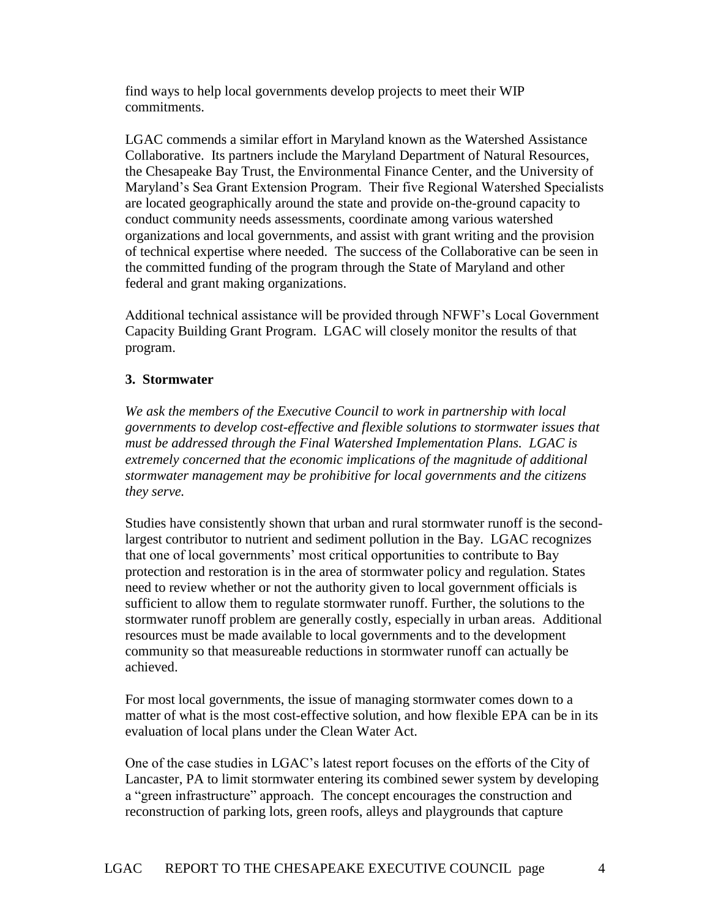find ways to help local governments develop projects to meet their WIP commitments.

LGAC commends a similar effort in Maryland known as the Watershed Assistance Collaborative. Its partners include the Maryland Department of Natural Resources, the Chesapeake Bay Trust, the Environmental Finance Center, and the University of Maryland's Sea Grant Extension Program. Their five Regional Watershed Specialists are located geographically around the state and provide on-the-ground capacity to conduct community needs assessments, coordinate among various watershed organizations and local governments, and assist with grant writing and the provision of technical expertise where needed. The success of the Collaborative can be seen in the committed funding of the program through the State of Maryland and other federal and grant making organizations.

Additional technical assistance will be provided through NFWF's Local Government Capacity Building Grant Program. LGAC will closely monitor the results of that program.

## **3. Stormwater**

*We ask the members of the Executive Council to work in partnership with local governments to develop cost-effective and flexible solutions to stormwater issues that must be addressed through the Final Watershed Implementation Plans. LGAC is extremely concerned that the economic implications of the magnitude of additional stormwater management may be prohibitive for local governments and the citizens they serve.*

Studies have consistently shown that urban and rural stormwater runoff is the secondlargest contributor to nutrient and sediment pollution in the Bay. LGAC recognizes that one of local governments' most critical opportunities to contribute to Bay protection and restoration is in the area of stormwater policy and regulation. States need to review whether or not the authority given to local government officials is sufficient to allow them to regulate stormwater runoff. Further, the solutions to the stormwater runoff problem are generally costly, especially in urban areas. Additional resources must be made available to local governments and to the development community so that measureable reductions in stormwater runoff can actually be achieved.

For most local governments, the issue of managing stormwater comes down to a matter of what is the most cost-effective solution, and how flexible EPA can be in its evaluation of local plans under the Clean Water Act.

One of the case studies in LGAC's latest report focuses on the efforts of the City of Lancaster, PA to limit stormwater entering its combined sewer system by developing a "green infrastructure" approach. The concept encourages the construction and reconstruction of parking lots, green roofs, alleys and playgrounds that capture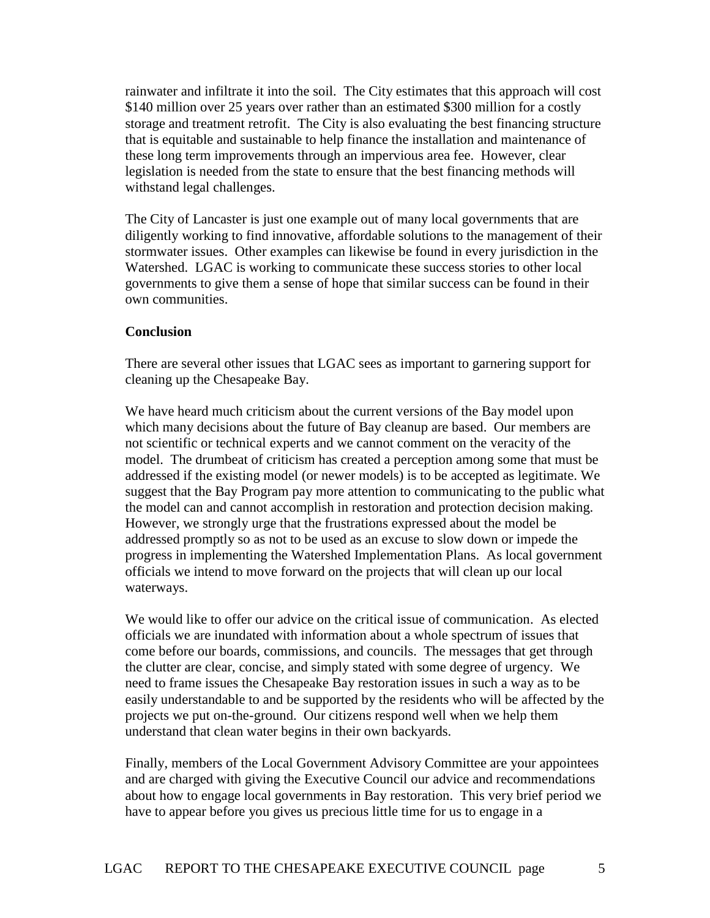rainwater and infiltrate it into the soil. The City estimates that this approach will cost \$140 million over 25 years over rather than an estimated \$300 million for a costly storage and treatment retrofit. The City is also evaluating the best financing structure that is equitable and sustainable to help finance the installation and maintenance of these long term improvements through an impervious area fee. However, clear legislation is needed from the state to ensure that the best financing methods will withstand legal challenges.

The City of Lancaster is just one example out of many local governments that are diligently working to find innovative, affordable solutions to the management of their stormwater issues. Other examples can likewise be found in every jurisdiction in the Watershed. LGAC is working to communicate these success stories to other local governments to give them a sense of hope that similar success can be found in their own communities.

#### **Conclusion**

There are several other issues that LGAC sees as important to garnering support for cleaning up the Chesapeake Bay.

We have heard much criticism about the current versions of the Bay model upon which many decisions about the future of Bay cleanup are based. Our members are not scientific or technical experts and we cannot comment on the veracity of the model. The drumbeat of criticism has created a perception among some that must be addressed if the existing model (or newer models) is to be accepted as legitimate. We suggest that the Bay Program pay more attention to communicating to the public what the model can and cannot accomplish in restoration and protection decision making. However, we strongly urge that the frustrations expressed about the model be addressed promptly so as not to be used as an excuse to slow down or impede the progress in implementing the Watershed Implementation Plans. As local government officials we intend to move forward on the projects that will clean up our local waterways.

We would like to offer our advice on the critical issue of communication. As elected officials we are inundated with information about a whole spectrum of issues that come before our boards, commissions, and councils. The messages that get through the clutter are clear, concise, and simply stated with some degree of urgency. We need to frame issues the Chesapeake Bay restoration issues in such a way as to be easily understandable to and be supported by the residents who will be affected by the projects we put on-the-ground. Our citizens respond well when we help them understand that clean water begins in their own backyards.

Finally, members of the Local Government Advisory Committee are your appointees and are charged with giving the Executive Council our advice and recommendations about how to engage local governments in Bay restoration. This very brief period we have to appear before you gives us precious little time for us to engage in a